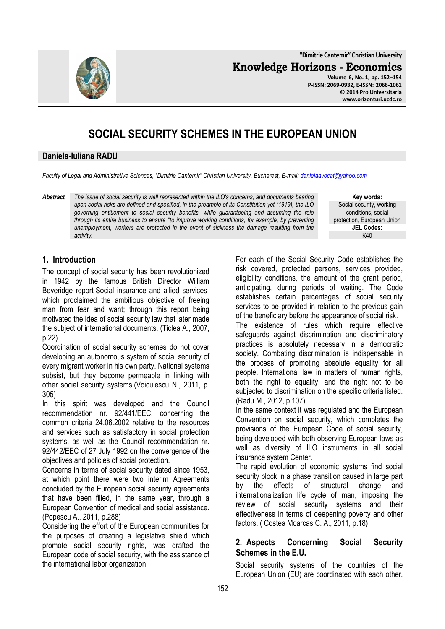**"Dimitrie Cantemir" Christian University**

**Knowledge Horizons - Economics**

**Volume 6, No. 1, pp. 152–154 P-ISSN: 2069-0932, E-ISSN: 2066-1061 © 2014 Pro Universitaria www.orizonturi.ucdc.ro**

# **SOCIAL SECURITY SCHEMES IN THE EUROPEAN UNION**

#### **Daniela-Iuliana RADU**

*Faculty of Legal and Administrative Sciences, "Dimitrie Cantemir" Christian University, Bucharest, E-mail: danielaavocat@yahoo.com*

*Abstract The issue of social security is well represented within the ILO's concerns, and documents bearing upon social risks are defined and specified, in the preamble of its Constitution yet (1919), the ILO governing entitlement to social security benefits, while guaranteeing and assuming the role through its entire business to ensure "to improve working conditions, for example, by preventing unemployment, workers are protected in the event of sickness the damage resulting from the activity.* 

**Key words:** Social security, working conditions, social protection, European Union **JEL Codes:** K40

## **1. Introduction**

The concept of social security has been revolutionized in 1942 by the famous British Director William Beveridge report-Social insurance and allied serviceswhich proclaimed the ambitious objective of freeing man from fear and want; through this report being motivated the idea of social security law that later made the subject of international documents. (Ticlea A., 2007, p.22)

Coordination of social security schemes do not cover developing an autonomous system of social security of every migrant worker in his own party. National systems subsist, but they become permeable in linking with other social security systems.(Voiculescu N., 2011, p. 305)

In this spirit was developed and the Council recommendation nr. 92/441/EEC, concerning the common criteria 24.06.2002 relative to the resources and services such as satisfactory in social protection systems, as well as the Council recommendation nr. 92/442/EEC of 27 July 1992 on the convergence of the objectives and policies of social protection.

Concerns in terms of social security dated since 1953, at which point there were two interim Agreements concluded by the European social security agreements that have been filled, in the same year, through a European Convention of medical and social assistance. (Popescu A., 2011, p.288)

Considering the effort of the European communities for the purposes of creating a legislative shield which promote social security rights, was drafted the European code of social security, with the assistance of the international labor organization.

For each of the Social Security Code establishes the risk covered, protected persons, services provided, eligibility conditions, the amount of the grant period, anticipating, during periods of waiting. The Code establishes certain percentages of social security services to be provided in relation to the previous gain of the beneficiary before the appearance of social risk.

The existence of rules which require effective safeguards against discrimination and discriminatory practices is absolutely necessary in a democratic society. Combating discrimination is indispensable in the process of promoting absolute equality for all people. International law in matters of human rights, both the right to equality, and the right not to be subjected to discrimination on the specific criteria listed. (Radu M., 2012, p.107)

In the same context it was regulated and the European Convention on social security, which completes the provisions of the European Code of social security, being developed with both observing European laws as well as diversity of ILO instruments in all social insurance system Center.

The rapid evolution of economic systems find social security block in a phase transition caused in large part by the effects of structural change and internationalization life cycle of man, imposing the review of social security systems and their effectiveness in terms of deepening poverty and other factors. ( Costea Moarcas C. A., 2011, p.18)

## **2. Aspects Concerning Social Security Schemes in the E.U.**

Social security systems of the countries of the European Union (EU) are coordinated with each other.

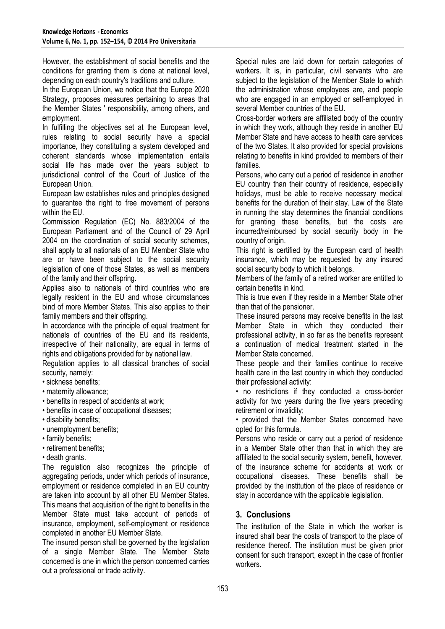However, the establishment of social benefits and the conditions for granting them is done at national level, depending on each country's traditions and culture.

In the European Union, we notice that the Europe 2020 Strategy, proposes measures pertaining to areas that the Member States ' responsibility, among others, and employment.

In fulfilling the objectives set at the European level. rules relating to social security have a special importance, they constituting a system developed and coherent standards whose implementation entails social life has made over the years subject to jurisdictional control of the Court of Justice of the European Union.

European law establishes rules and principles designed to guarantee the right to free movement of persons within the EU.

Commission Regulation (EC) No. 883/2004 of the European Parliament and of the Council of 29 April 2004 on the coordination of social security schemes, shall apply to all nationals of an EU Member State who are or have been subject to the social security legislation of one of those States, as well as members of the family and their offspring.

Applies also to nationals of third countries who are legally resident in the EU and whose circumstances bind of more Member States. This also applies to their family members and their offspring.

In accordance with the principle of equal treatment for nationals of countries of the EU and its residents, irrespective of their nationality, are equal in terms of rights and obligations provided for by national law.

Regulation applies to all classical branches of social security, namely:

- sickness benefits;
- maternity allowance;
- benefits in respect of accidents at work;
- benefits in case of occupational diseases;
- disability benefits;
- unemployment benefits;
- family benefits;
- retirement benefits;
- death grants.

The regulation also recognizes the principle of aggregating periods, under which periods of insurance, employment or residence completed in an EU country are taken into account by all other EU Member States. This means that acquisition of the right to benefits in the Member State must take account of periods of insurance, employment, self-employment or residence completed in another EU Member State.

The insured person shall be governed by the legislation of a single Member State. The Member State concerned is one in which the person concerned carries out a professional or trade activity.

Special rules are laid down for certain categories of workers. It is, in particular, civil servants who are subject to the legislation of the Member State to which the administration whose employees are, and people who are engaged in an employed or self-employed in several Member countries of the EU.

Cross-border workers are affiliated body of the country in which they work, although they reside in another EU Member State and have access to health care services of the two States. It also provided for special provisions relating to benefits in kind provided to members of their families.

Persons, who carry out a period of residence in another EU country than their country of residence, especially holidays, must be able to receive necessary medical benefits for the duration of their stay. Law of the State in running the stay determines the financial conditions for granting these benefits, but the costs are incurred/reimbursed by social security body in the country of origin.

This right is certified by the European card of health insurance, which may be requested by any insured social security body to which it belongs.

Members of the family of a retired worker are entitled to certain benefits in kind.

This is true even if they reside in a Member State other than that of the pensioner.

These insured persons may receive benefits in the last Member State in which they conducted their professional activity, in so far as the benefits represent a continuation of medical treatment started in the Member State concerned.

These people and their families continue to receive health care in the last country in which they conducted their professional activity:

• no restrictions if they conducted a cross-border activity for two years during the five years preceding retirement or invalidity;

• provided that the Member States concerned have opted for this formula.

Persons who reside or carry out a period of residence in a Member State other than that in which they are affiliated to the social security system, benefit, however, of the insurance scheme for accidents at work or occupational diseases. These benefits shall be provided by the institution of the place of residence or stay in accordance with the applicable legislation.

#### **3. Conclusions**

The institution of the State in which the worker is insured shall bear the costs of transport to the place of residence thereof. The institution must be given prior consent for such transport, except in the case of frontier workers.